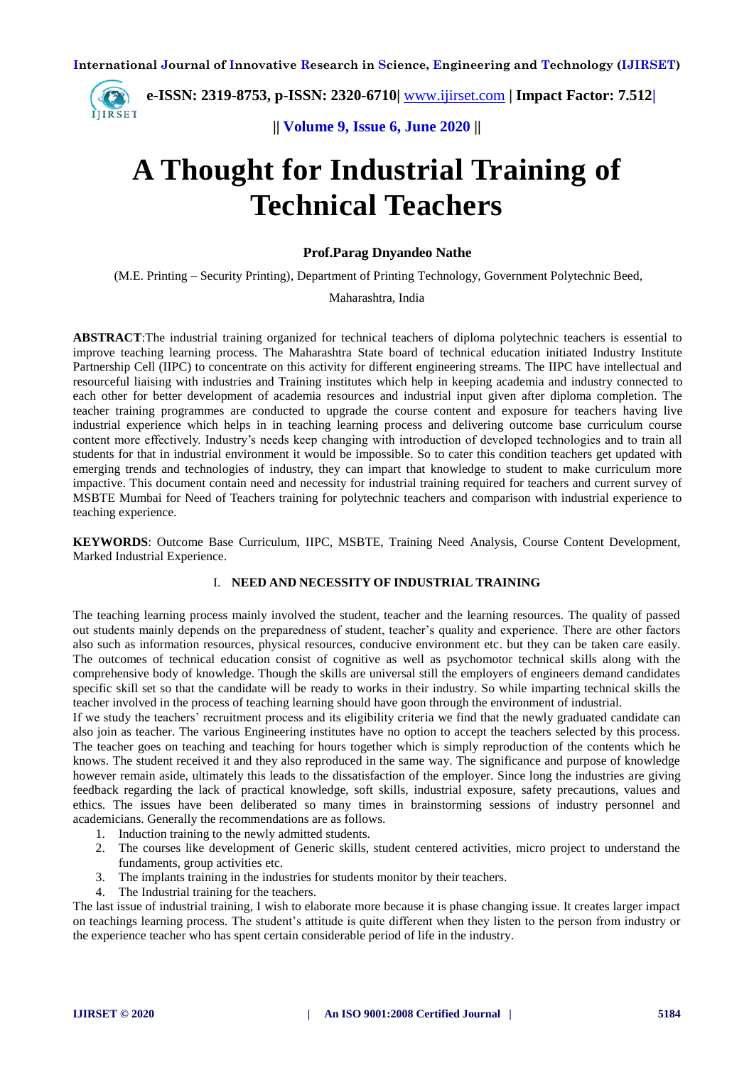**| e-ISSN: 2319-8753, p-ISSN: 2320-6710|** [www.ijirset.com](http://www.ijirset.com/) **| Impact Factor: 7.512|** IJIRSET

**|| Volume 9, Issue 6, June 2020 ||** 

# **A Thought for Industrial Training of Technical Teachers**

#### **Prof.Parag Dnyandeo Nathe**

(M.E. Printing – Security Printing), Department of Printing Technology, Government Polytechnic Beed,

Maharashtra, India

**ABSTRACT**:The industrial training organized for technical teachers of diploma polytechnic teachers is essential to improve teaching learning process. The Maharashtra State board of technical education initiated Industry Institute Partnership Cell (IIPC) to concentrate on this activity for different engineering streams. The IIPC have intellectual and resourceful liaising with industries and Training institutes which help in keeping academia and industry connected to each other for better development of academia resources and industrial input given after diploma completion. The teacher training programmes are conducted to upgrade the course content and exposure for teachers having live industrial experience which helps in in teaching learning process and delivering outcome base curriculum course content more effectively. Industry's needs keep changing with introduction of developed technologies and to train all students for that in industrial environment it would be impossible. So to cater this condition teachers get updated with emerging trends and technologies of industry, they can impart that knowledge to student to make curriculum more impactive. This document contain need and necessity for industrial training required for teachers and current survey of MSBTE Mumbai for Need of Teachers training for polytechnic teachers and comparison with industrial experience to teaching experience.

**KEYWORDS**: Outcome Base Curriculum, IIPC, MSBTE, Training Need Analysis, Course Content Development, Marked Industrial Experience.

#### I. **NEED AND NECESSITY OF INDUSTRIAL TRAINING**

The teaching learning process mainly involved the student, teacher and the learning resources. The quality of passed out students mainly depends on the preparedness of student, teacher's quality and experience. There are other factors also such as information resources, physical resources, conducive environment etc. but they can be taken care easily. The outcomes of technical education consist of cognitive as well as psychomotor technical skills along with the comprehensive body of knowledge. Though the skills are universal still the employers of engineers demand candidates specific skill set so that the candidate will be ready to works in their industry. So while imparting technical skills the teacher involved in the process of teaching learning should have goon through the environment of industrial.

If we study the teachers' recruitment process and its eligibility criteria we find that the newly graduated candidate can also join as teacher. The various Engineering institutes have no option to accept the teachers selected by this process. The teacher goes on teaching and teaching for hours together which is simply reproduction of the contents which he knows. The student received it and they also reproduced in the same way. The significance and purpose of knowledge however remain aside, ultimately this leads to the dissatisfaction of the employer. Since long the industries are giving feedback regarding the lack of practical knowledge, soft skills, industrial exposure, safety precautions, values and ethics. The issues have been deliberated so many times in brainstorming sessions of industry personnel and academicians. Generally the recommendations are as follows.

- 1. Induction training to the newly admitted students.
- 2. The courses like development of Generic skills, student centered activities, micro project to understand the fundaments, group activities etc.
- 3. The implants training in the industries for students monitor by their teachers.
- 4. The Industrial training for the teachers.

The last issue of industrial training, I wish to elaborate more because it is phase changing issue. It creates larger impact on teachings learning process. The student's attitude is quite different when they listen to the person from industry or the experience teacher who has spent certain considerable period of life in the industry.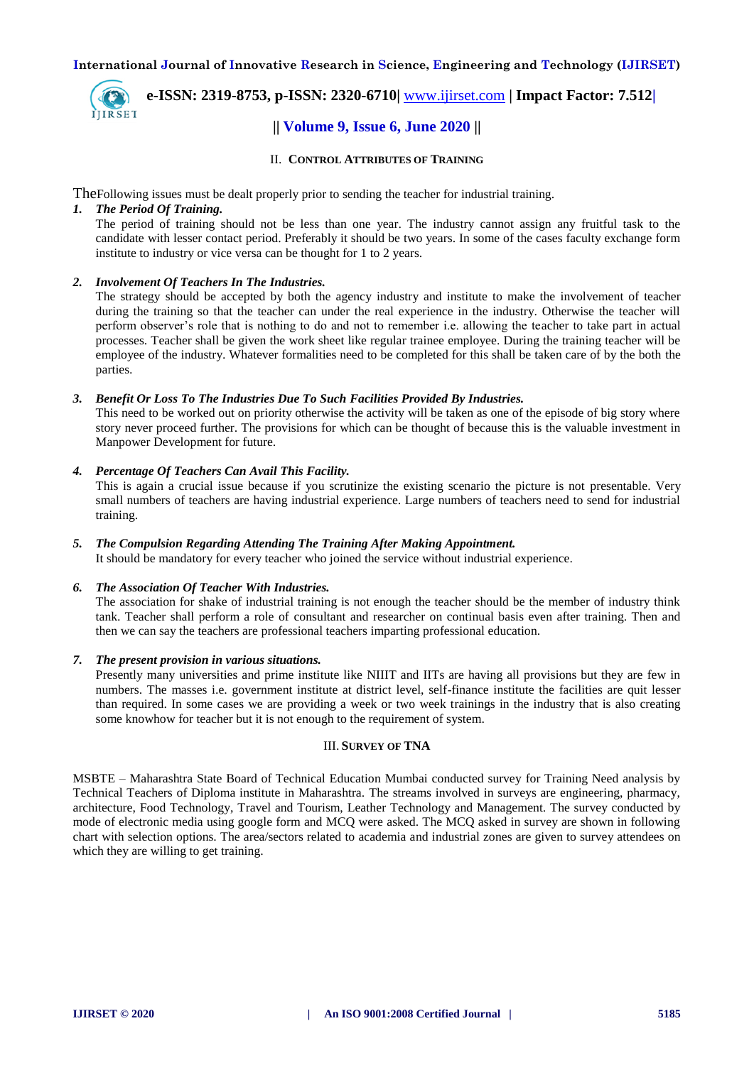

# **| e-ISSN: 2319-8753, p-ISSN: 2320-6710|** [www.ijirset.com](http://www.ijirset.com/) **| Impact Factor: 7.512|**

### **|| Volume 9, Issue 6, June 2020 ||**

II. **CONTROL ATTRIBUTES OF TRAINING** 

TheFollowing issues must be dealt properly prior to sending the teacher for industrial training.

#### *1. The Period Of Training.*

The period of training should not be less than one year. The industry cannot assign any fruitful task to the candidate with lesser contact period. Preferably it should be two years. In some of the cases faculty exchange form institute to industry or vice versa can be thought for 1 to 2 years.

#### *2. Involvement Of Teachers In The Industries.*

The strategy should be accepted by both the agency industry and institute to make the involvement of teacher during the training so that the teacher can under the real experience in the industry. Otherwise the teacher will perform observer's role that is nothing to do and not to remember i.e. allowing the teacher to take part in actual processes. Teacher shall be given the work sheet like regular trainee employee. During the training teacher will be employee of the industry. Whatever formalities need to be completed for this shall be taken care of by the both the parties.

#### *3. Benefit Or Loss To The Industries Due To Such Facilities Provided By Industries.*

This need to be worked out on priority otherwise the activity will be taken as one of the episode of big story where story never proceed further. The provisions for which can be thought of because this is the valuable investment in Manpower Development for future.

#### *4. Percentage Of Teachers Can Avail This Facility.*

This is again a crucial issue because if you scrutinize the existing scenario the picture is not presentable. Very small numbers of teachers are having industrial experience. Large numbers of teachers need to send for industrial training.

#### *5. The Compulsion Regarding Attending The Training After Making Appointment.*

It should be mandatory for every teacher who joined the service without industrial experience.

#### *6. The Association Of Teacher With Industries.*

The association for shake of industrial training is not enough the teacher should be the member of industry think tank. Teacher shall perform a role of consultant and researcher on continual basis even after training. Then and then we can say the teachers are professional teachers imparting professional education.

#### *7. The present provision in various situations.*

Presently many universities and prime institute like NIIIT and IITs are having all provisions but they are few in numbers. The masses i.e. government institute at district level, self-finance institute the facilities are quit lesser than required. In some cases we are providing a week or two week trainings in the industry that is also creating some knowhow for teacher but it is not enough to the requirement of system.

#### III. **SURVEY OF TNA**

MSBTE – Maharashtra State Board of Technical Education Mumbai conducted survey for Training Need analysis by Technical Teachers of Diploma institute in Maharashtra. The streams involved in surveys are engineering, pharmacy, architecture, Food Technology, Travel and Tourism, Leather Technology and Management. The survey conducted by mode of electronic media using google form and MCQ were asked. The MCQ asked in survey are shown in following chart with selection options. The area/sectors related to academia and industrial zones are given to survey attendees on which they are willing to get training.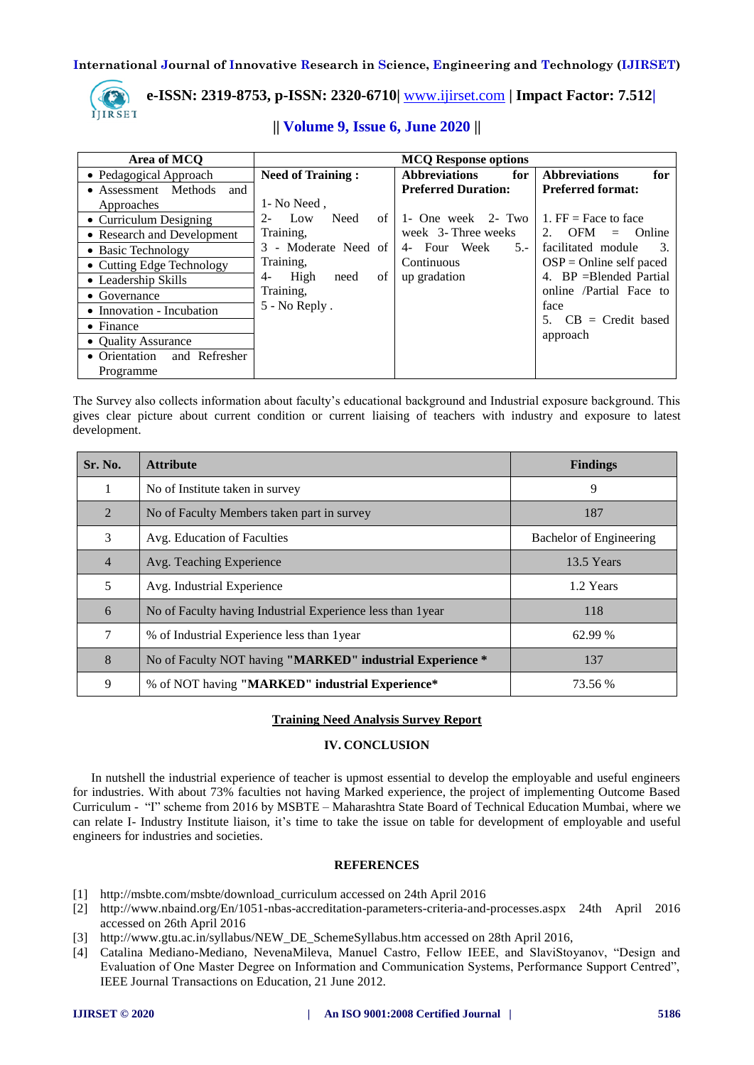

## **| e-ISSN: 2319-8753, p-ISSN: 2320-6710|** [www.ijirset.com](http://www.ijirset.com/) **| Impact Factor: 7.512|**

| Area of MCQ                    | <b>MCQ Response options</b> |                             |                                               |
|--------------------------------|-----------------------------|-----------------------------|-----------------------------------------------|
| • Pedagogical Approach         | <b>Need of Training:</b>    | <b>Abbreviations</b><br>for | <b>Abbreviations</b><br>for                   |
| • Assessment Methods<br>and    |                             | <b>Preferred Duration:</b>  | <b>Preferred format:</b>                      |
| Approaches                     | 1- No Need,                 |                             |                                               |
| • Curriculum Designing         | Need<br>Low<br>of<br>$2 -$  | 1- One week 2- Two          | 1. $FF = Face$ to face                        |
| • Research and Development     | Training,                   | week 3- Three weeks         | <b>OFM</b><br>$2^{+}$<br><b>Online</b><br>$=$ |
| • Basic Technology             | 3 - Moderate Need of        | 4- Four Week<br>$5 - 1$     | facilitated module<br>3.                      |
| • Cutting Edge Technology      | Training,                   | Continuous                  | $OSP = Online self$ paced                     |
| • Leadership Skills            | of<br>High<br>4-<br>need    | up gradation                | 4. BP = Blended Partial                       |
| $\bullet$ Governance           | Training,                   |                             | online /Partial Face to                       |
| • Innovation - Incubation      | $5 - No Reply$ .            |                             | face                                          |
| • Finance                      |                             |                             | $CB = Credit based$                           |
| • Quality Assurance            |                             |                             | approach                                      |
| • Orientation<br>and Refresher |                             |                             |                                               |
| Programme                      |                             |                             |                                               |

#### **|| Volume 9, Issue 6, June 2020 ||**

The Survey also collects information about faculty's educational background and Industrial exposure background. This gives clear picture about current condition or current liaising of teachers with industry and exposure to latest development.

| Sr. No.        | <b>Attribute</b>                                            | <b>Findings</b>         |
|----------------|-------------------------------------------------------------|-------------------------|
|                | No of Institute taken in survey                             | 9                       |
| $\mathfrak{D}$ | No of Faculty Members taken part in survey                  | 187                     |
| 3              | Avg. Education of Faculties                                 | Bachelor of Engineering |
| $\overline{4}$ | Avg. Teaching Experience                                    | 13.5 Years              |
| 5              | Avg. Industrial Experience                                  | 1.2 Years               |
| 6              | No of Faculty having Industrial Experience less than 1 year | 118                     |
| 7              | % of Industrial Experience less than 1 year                 | 62.99 %                 |
| 8              | No of Faculty NOT having "MARKED" industrial Experience *   | 137                     |
| 9              | % of NOT having "MARKED" industrial Experience*             | 73.56 %                 |

#### **Training Need Analysis Survey Report**

#### **IV. CONCLUSION**

In nutshell the industrial experience of teacher is upmost essential to develop the employable and useful engineers for industries. With about 73% faculties not having Marked experience, the project of implementing Outcome Based Curriculum - "I" scheme from 2016 by MSBTE – Maharashtra State Board of Technical Education Mumbai, where we can relate I- Industry Institute liaison, it's time to take the issue on table for development of employable and useful engineers for industries and societies.

#### **REFERENCES**

- [1] http://msbte.com/msbte/download\_curriculum accessed on 24th April 2016
- [2] http://www.nbaind.org/En/1051-nbas-accreditation-parameters-criteria-and-processes.aspx 24th April 2016 accessed on 26th April 2016
- [3] http://www.gtu.ac.in/syllabus/NEW\_DE\_SchemeSyllabus.htm accessed on 28th April 2016,
- [4] Catalina Mediano-Mediano, NevenaMileva, Manuel Castro, Fellow IEEE, and SlaviStoyanov, "Design and Evaluation of One Master Degree on Information and Communication Systems, Performance Support Centred", IEEE Journal Transactions on Education, 21 June 2012.